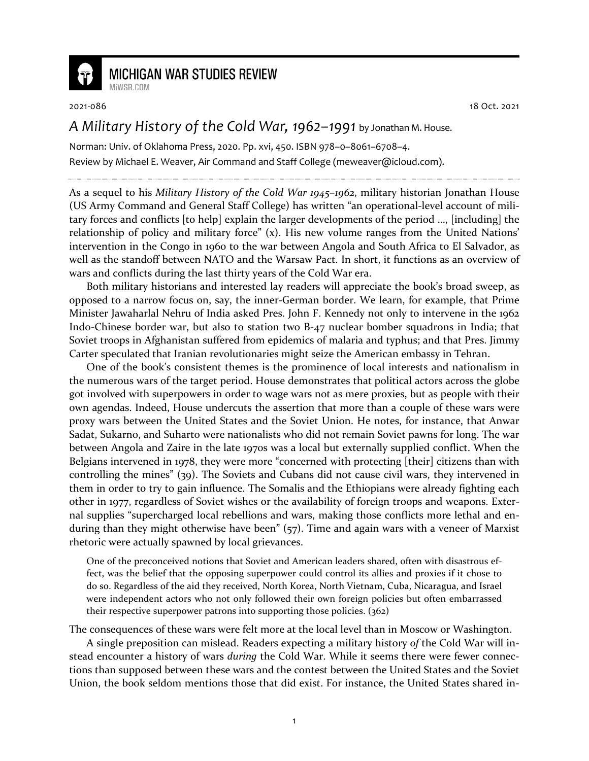

## **MICHIGAN WAR STUDIES REVIEW**

MiWSR COM

2021-086 18 Oct. 2021

## *A Military History of the Cold War, 1962–1991* by Jonathan M. House.

Norman: Univ. of Oklahoma Press, 2020. Pp. xvi, 450. ISBN 978–0–8061–6708–4. Review by Michael E. Weaver, Air Command and Staff College (meweaver@icloud.com).

As a sequel to his *Military History of the Cold War 1945–1962*, military historian Jonathan House (US Army Command and General Staff College) has written "an operational-level account of military forces and conflicts [to help] explain the larger developments of the period …, [including] the relationship of policy and military force" (x). His new volume ranges from the United Nations' intervention in the Congo in 1960 to the war between Angola and South Africa to El Salvador, as well as the standoff between NATO and the Warsaw Pact. In short, it functions as an overview of wars and conflicts during the last thirty years of the Cold War era.

Both military historians and interested lay readers will appreciate the book's broad sweep, as opposed to a narrow focus on, say, the inner-German border. We learn, for example, that Prime Minister Jawaharlal Nehru of India asked Pres. John F. Kennedy not only to intervene in the 1962 Indo-Chinese border war, but also to station two B-47 nuclear bomber squadrons in India; that Soviet troops in Afghanistan suffered from epidemics of malaria and typhus; and that Pres. Jimmy Carter speculated that Iranian revolutionaries might seize the American embassy in Tehran.

One of the book's consistent themes is the prominence of local interests and nationalism in the numerous wars of the target period. House demonstrates that political actors across the globe got involved with superpowers in order to wage wars not as mere proxies, but as people with their own agendas. Indeed, House undercuts the assertion that more than a couple of these wars were proxy wars between the United States and the Soviet Union. He notes, for instance, that Anwar Sadat, Sukarno, and Suharto were nationalists who did not remain Soviet pawns for long. The war between Angola and Zaire in the late 1970s was a local but externally supplied conflict. When the Belgians intervened in 1978, they were more "concerned with protecting [their] citizens than with controlling the mines" (39). The Soviets and Cubans did not cause civil wars, they intervened in them in order to try to gain influence. The Somalis and the Ethiopians were already fighting each other in 1977, regardless of Soviet wishes or the availability of foreign troops and weapons. External supplies "supercharged local rebellions and wars, making those conflicts more lethal and enduring than they might otherwise have been" (57). Time and again wars with a veneer of Marxist rhetoric were actually spawned by local grievances.

One of the preconceived notions that Soviet and American leaders shared, often with disastrous effect, was the belief that the opposing superpower could control its allies and proxies if it chose to do so. Regardless of the aid they received, North Korea, North Vietnam, Cuba, Nicaragua, and Israel were independent actors who not only followed their own foreign policies but often embarrassed their respective superpower patrons into supporting those policies. (362)

The consequences of these wars were felt more at the local level than in Moscow or Washington.

A single preposition can mislead. Readers expecting a military history *of* the Cold War will instead encounter a history of wars *during* the Cold War. While it seems there were fewer connections than supposed between these wars and the contest between the United States and the Soviet Union, the book seldom mentions those that did exist. For instance, the United States shared in